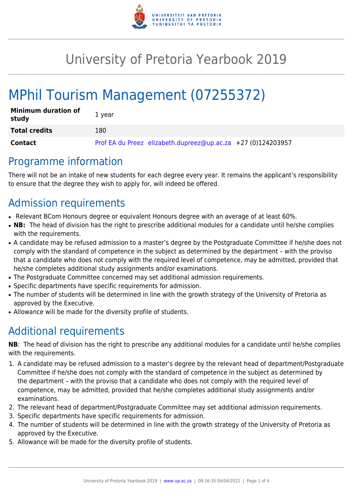

## University of Pretoria Yearbook 2019

# MPhil Tourism Management (07255372)

| <b>Minimum duration of</b><br>study | 1 vear                                                       |
|-------------------------------------|--------------------------------------------------------------|
| <b>Total credits</b>                | 180                                                          |
| Contact                             | Prof EA du Preez elizabeth.dupreez@up.ac.za +27 (0)124203957 |

### Programme information

There will not be an intake of new students for each degree every year. It remains the applicant's responsibility to ensure that the degree they wish to apply for, will indeed be offered.

## Admission requirements

- Relevant BCom Honours degree or equivalent Honours degree with an average of at least 60%.
- NB: The head of division has the right to prescribe additional modules for a candidate until he/she complies with the requirements.
- A candidate may be refused admission to a master's degree by the Postgraduate Committee if he/she does not comply with the standard of competence in the subject as determined by the department – with the proviso that a candidate who does not comply with the required level of competence, may be admitted, provided that he/she completes additional study assignments and/or examinations.
- The Postgraduate Committee concerned may set additional admission requirements.
- Specific departments have specific requirements for admission.
- The number of students will be determined in line with the growth strategy of the University of Pretoria as approved by the Executive.
- Allowance will be made for the diversity profile of students.

## Additional requirements

**NB**: The head of division has the right to prescribe any additional modules for a candidate until he/she complies with the requirements.

- 1. A candidate may be refused admission to a master's degree by the relevant head of department/Postgraduate Committee if he/she does not comply with the standard of competence in the subject as determined by the department – with the proviso that a candidate who does not comply with the required level of competence, may be admitted, provided that he/she completes additional study assignments and/or examinations.
- 2. The relevant head of department/Postgraduate Committee may set additional admission requirements.
- 3. Specific departments have specific requirements for admission.
- 4. The number of students will be determined in line with the growth strategy of the University of Pretoria as approved by the Executive.
- 5. Allowance will be made for the diversity profile of students.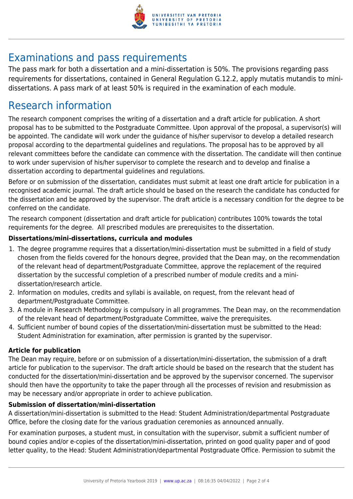

### Examinations and pass requirements

The pass mark for both a dissertation and a mini-dissertation is 50%. The provisions regarding pass requirements for dissertations, contained in General Regulation G.12.2, apply mutatis mutandis to minidissertations. A pass mark of at least 50% is required in the examination of each module.

### Research information

The research component comprises the writing of a dissertation and a draft article for publication. A short proposal has to be submitted to the Postgraduate Committee. Upon approval of the proposal, a supervisor(s) will be appointed. The candidate will work under the guidance of his/her supervisor to develop a detailed research proposal according to the departmental guidelines and regulations. The proposal has to be approved by all relevant committees before the candidate can commence with the dissertation. The candidate will then continue to work under supervision of his/her supervisor to complete the research and to develop and finalise a dissertation according to departmental guidelines and regulations.

Before or on submission of the dissertation, candidates must submit at least one draft article for publication in a recognised academic journal. The draft article should be based on the research the candidate has conducted for the dissertation and be approved by the supervisor. The draft article is a necessary condition for the degree to be conferred on the candidate.

The research component (dissertation and draft article for publication) contributes 100% towards the total requirements for the degree. All prescribed modules are prerequisites to the dissertation.

#### **Dissertations/mini-dissertations, curricula and modules**

- 1. The degree programme requires that a dissertation/mini-dissertation must be submitted in a field of study chosen from the fields covered for the honours degree, provided that the Dean may, on the recommendation of the relevant head of department/Postgraduate Committee, approve the replacement of the required dissertation by the successful completion of a prescribed number of module credits and a minidissertation/research article.
- 2. Information on modules, credits and syllabi is available, on request, from the relevant head of department/Postgraduate Committee.
- 3. A module in Research Methodology is compulsory in all programmes. The Dean may, on the recommendation of the relevant head of department/Postgraduate Committee, waive the prerequisites.
- 4. Sufficient number of bound copies of the dissertation/mini-dissertation must be submitted to the Head: Student Administration for examination, after permission is granted by the supervisor.

#### **Article for publication**

The Dean may require, before or on submission of a dissertation/mini-dissertation, the submission of a draft article for publication to the supervisor. The draft article should be based on the research that the student has conducted for the dissertation/mini-dissertation and be approved by the supervisor concerned. The supervisor should then have the opportunity to take the paper through all the processes of revision and resubmission as may be necessary and/or appropriate in order to achieve publication.

#### **Submission of dissertation/mini-dissertation**

A dissertation/mini-dissertation is submitted to the Head: Student Administration/departmental Postgraduate Office, before the closing date for the various graduation ceremonies as announced annually.

For examination purposes, a student must, in consultation with the supervisor, submit a sufficient number of bound copies and/or e-copies of the dissertation/mini-dissertation, printed on good quality paper and of good letter quality, to the Head: Student Administration/departmental Postgraduate Office. Permission to submit the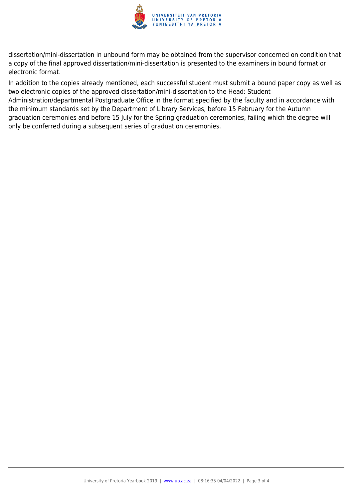

dissertation/mini-dissertation in unbound form may be obtained from the supervisor concerned on condition that a copy of the final approved dissertation/mini-dissertation is presented to the examiners in bound format or electronic format.

In addition to the copies already mentioned, each successful student must submit a bound paper copy as well as two electronic copies of the approved dissertation/mini-dissertation to the Head: Student Administration/departmental Postgraduate Office in the format specified by the faculty and in accordance with the minimum standards set by the Department of Library Services, before 15 February for the Autumn graduation ceremonies and before 15 July for the Spring graduation ceremonies, failing which the degree will only be conferred during a subsequent series of graduation ceremonies.